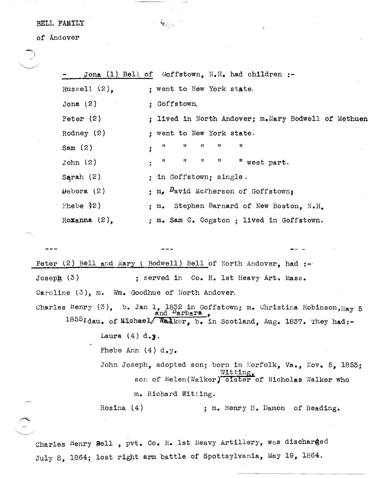## BELL FAMILY

of Andover

 $\searrow$  . The  $\searrow$ 

 $\bigcirc$ 

|                                                                  |                                                   | Jona (1) Bell of Goffstown, $N_{\bullet}H_{\bullet}$ had children :-                                                                                            |  |
|------------------------------------------------------------------|---------------------------------------------------|-----------------------------------------------------------------------------------------------------------------------------------------------------------------|--|
|                                                                  | Russell $(2)$ ,                                   | ; went to New York state.                                                                                                                                       |  |
|                                                                  | Jona $(2)$                                        | ; Goffstown,                                                                                                                                                    |  |
|                                                                  | Peter $(2)$                                       | : lived in North Andover; m.Mary Bodwell of Methuen                                                                                                             |  |
|                                                                  | Rodney $(2)$                                      | ; went to New York state.                                                                                                                                       |  |
|                                                                  | Sam $(2)$                                         | Ħ<br>Ħ<br>Ħ<br>Ħ<br>Ħ                                                                                                                                           |  |
|                                                                  | John(2)                                           | $\pmb{\Pi}$<br>Ħ<br>Ħ<br>n<br>" west part.                                                                                                                      |  |
|                                                                  | Sarah $(2)$                                       | ; in Goffstown; single.                                                                                                                                         |  |
|                                                                  | $\mu$ ebora (2)                                   | : $m_e$ David McFherson of Goffstown;                                                                                                                           |  |
|                                                                  | Phebe $\sqrt{2}$                                  | : m. Stephen Barnard of New Boston, N.H.                                                                                                                        |  |
|                                                                  | Roxanna $(2)$ ,                                   | ; m. Sam C. Cogston ; lived in Goffstown.                                                                                                                       |  |
|                                                                  |                                                   |                                                                                                                                                                 |  |
|                                                                  |                                                   |                                                                                                                                                                 |  |
| Peter (2) Bell and Mary ( Bodwell) Bell of North Andover, had :- |                                                   |                                                                                                                                                                 |  |
| Joseph $(3)$                                                     |                                                   | ; served in Co. H. 1st Heavy Art. Mass.                                                                                                                         |  |
|                                                                  | Caroline $(3)$ , m. Wm. Goodhue of North Andover. |                                                                                                                                                                 |  |
|                                                                  |                                                   | Charles Henry (3), b. Jan 1, 1832 in Goffstown; m. Christina Robinson, $_{\text{May}}$ 5<br>1855; dau. of Michael Walker, b. in Scotland, Aug. 1837. They had:- |  |
|                                                                  | Laura $(4)$ d.y.                                  |                                                                                                                                                                 |  |

 $\mathbf{w}_{\mathbf{q},\mathbf{s}}$ 

Phebe Ann  $(4)$  d.y.

John Joseph, adopted son; born in Norfolk, Va., Nov. 5, 1853; Witting, son of Helen(Walker) sister of Nicholas Walker who m. Richard Witting.

Rosina (4) ; m. Henry H. Damon of Reading.

Charles Henry Bell , pvt. Co. H. 1st Heavy Artillery, was discharged July 8, 1864; lost right arm battle of Spottsylvania, May 19, 1864.